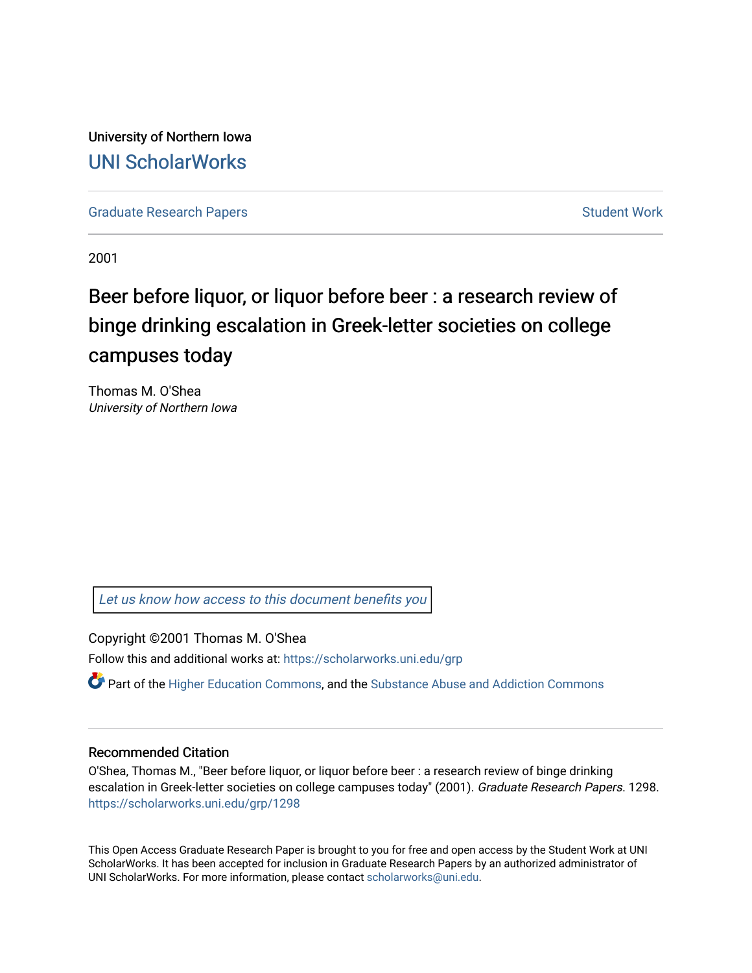University of Northern Iowa [UNI ScholarWorks](https://scholarworks.uni.edu/) 

[Graduate Research Papers](https://scholarworks.uni.edu/grp) **Student Work** Student Work

2001

# Beer before liquor, or liquor before beer : a research review of binge drinking escalation in Greek-letter societies on college campuses today

Thomas M. O'Shea University of Northern Iowa

[Let us know how access to this document benefits you](https://scholarworks.uni.edu/feedback_form.html) 

Copyright ©2001 Thomas M. O'Shea

Follow this and additional works at: [https://scholarworks.uni.edu/grp](https://scholarworks.uni.edu/grp?utm_source=scholarworks.uni.edu%2Fgrp%2F1298&utm_medium=PDF&utm_campaign=PDFCoverPages) 

Part of the [Higher Education Commons,](http://network.bepress.com/hgg/discipline/1245?utm_source=scholarworks.uni.edu%2Fgrp%2F1298&utm_medium=PDF&utm_campaign=PDFCoverPages) and the [Substance Abuse and Addiction Commons](http://network.bepress.com/hgg/discipline/710?utm_source=scholarworks.uni.edu%2Fgrp%2F1298&utm_medium=PDF&utm_campaign=PDFCoverPages)

### Recommended Citation

O'Shea, Thomas M., "Beer before liquor, or liquor before beer : a research review of binge drinking escalation in Greek-letter societies on college campuses today" (2001). Graduate Research Papers. 1298. [https://scholarworks.uni.edu/grp/1298](https://scholarworks.uni.edu/grp/1298?utm_source=scholarworks.uni.edu%2Fgrp%2F1298&utm_medium=PDF&utm_campaign=PDFCoverPages) 

This Open Access Graduate Research Paper is brought to you for free and open access by the Student Work at UNI ScholarWorks. It has been accepted for inclusion in Graduate Research Papers by an authorized administrator of UNI ScholarWorks. For more information, please contact [scholarworks@uni.edu.](mailto:scholarworks@uni.edu)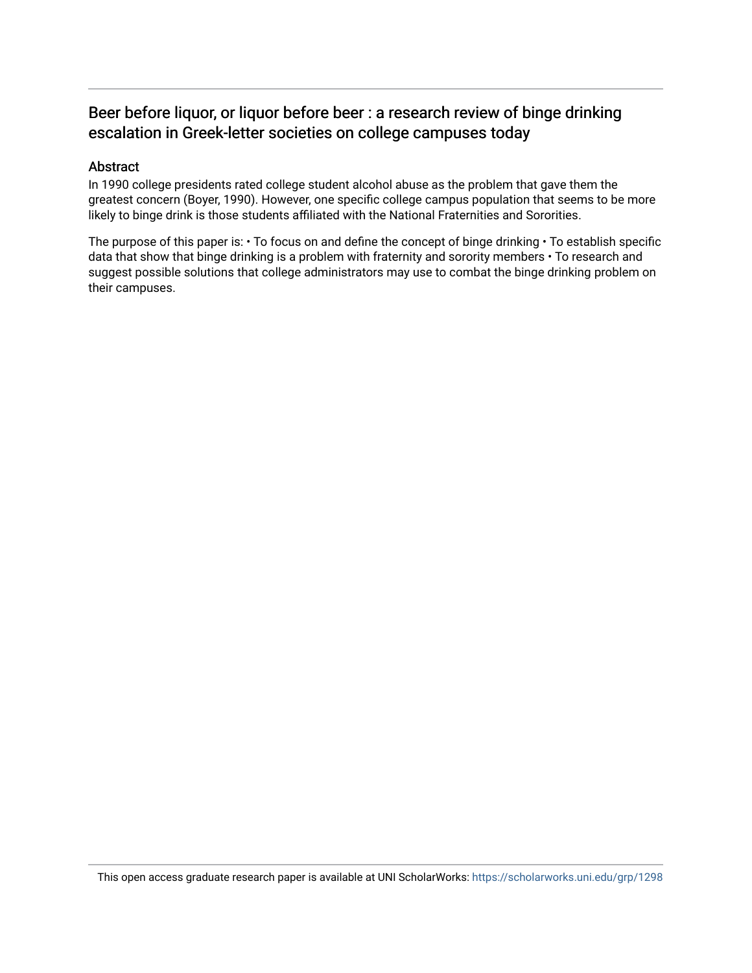## Beer before liquor, or liquor before beer : a research review of binge drinking escalation in Greek-letter societies on college campuses today

### Abstract

In 1990 college presidents rated college student alcohol abuse as the problem that gave them the greatest concern (Boyer, 1990). However, one specific college campus population that seems to be more likely to binge drink is those students affiliated with the National Fraternities and Sororities.

The purpose of this paper is:  $\cdot$  To focus on and define the concept of binge drinking  $\cdot$  To establish specific data that show that binge drinking is a problem with fraternity and sorority members • To research and suggest possible solutions that college administrators may use to combat the binge drinking problem on their campuses.

This open access graduate research paper is available at UNI ScholarWorks: <https://scholarworks.uni.edu/grp/1298>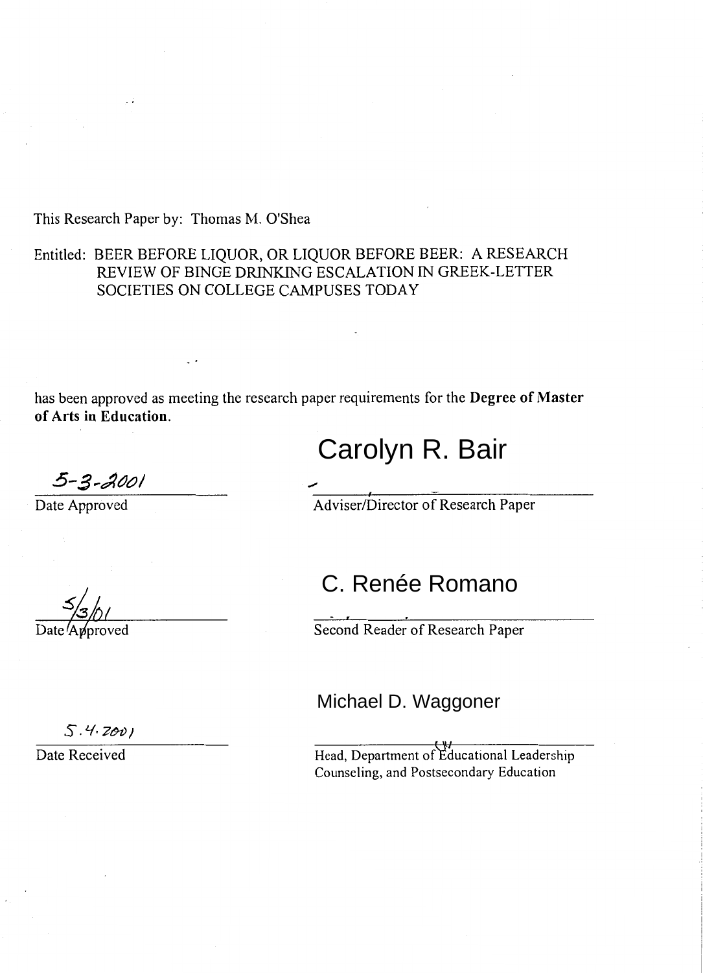This Research Paper by: Thomas M. O'Shea

## Entitled: BEER BEFORE LIQUOR, OR LIQUOR BEFORE BEER: A RESEARCH REVIEW OF BINGE DRINKING ESCALATION IN GREEK-LETTER SOCIETIES ON COLLEGE CAMPUSES TODAY

has been approved as meeting the research paper requirements for the **Degree of Master**  of Arts in Education.

## Carolyn R. Bair

5-3-2001

Date Approved

Adviser/Director of Research Paper

## C. Renée Romano

Second Reader of Research Paper

## Michael D. Waggoner

 $5.4.2001$ 

Date Received

Head, Department of Educational Leadership Counseling, and Postsecondary Education

 $\frac{\frac{1}{3}}{\frac{3}{1}}$ Date Approved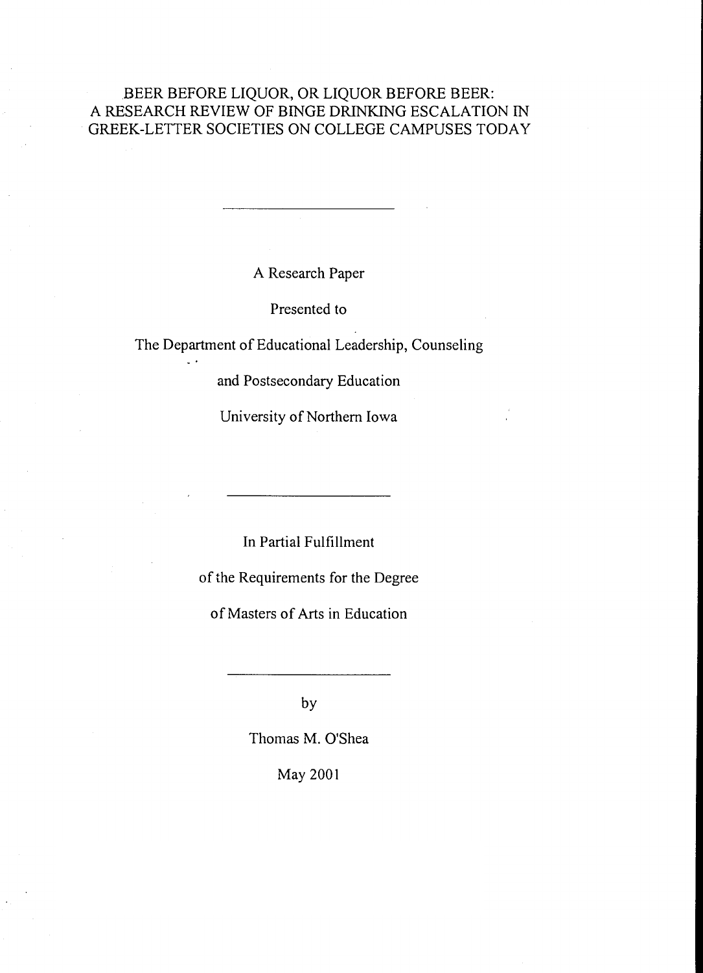## .BEER BEFORE LIQUOR, OR LIQUOR BEFORE BEER: A RESEARCH REVIEW OF BINGE DRINKING ESCALATION IN GREEK-LETTER SOCIETIES ON COLLEGE CAMPUSES TODAY

A Research Paper

Presented to

The Department of Educational Leadership, Counseling

 $\sim$ 

and Postsecondary Education

University of Northern Iowa

In Partial Fulfillment

of the Requirements for the Degree

of Masters of Arts in Education

by

Thomas M. O'Shea

May 2001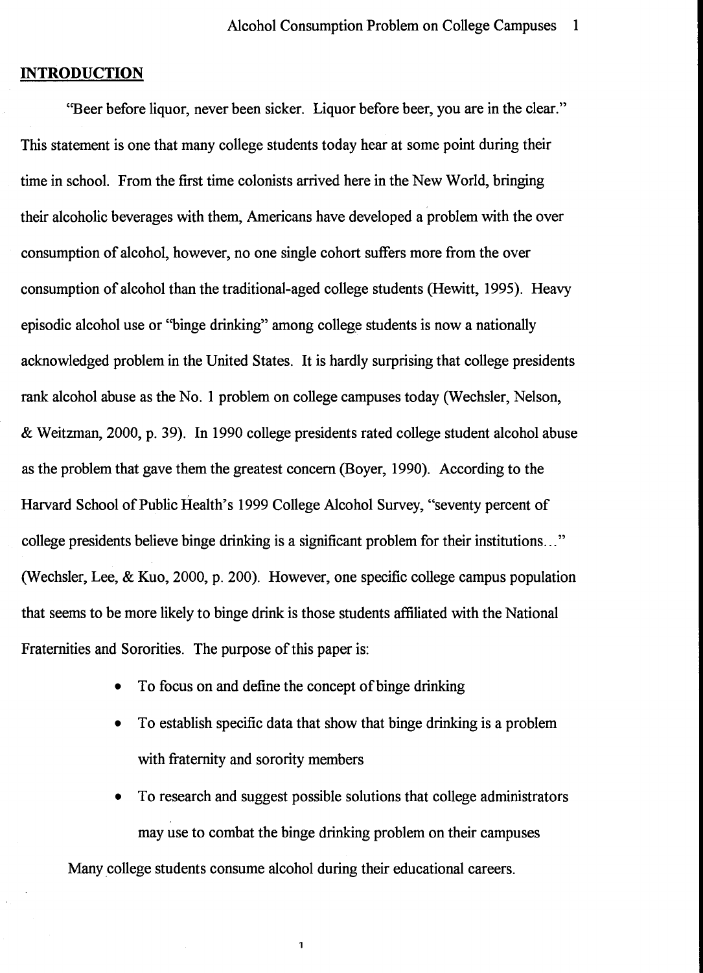## **INTRODUCTION**

''Beer before liquor, never been sicker. Liquor before beer, you are in the clear." This statement is one that many college students today hear at some point during their time in school. From the first time colonists arrived here in the New World, bringing their alcoholic beverages with them, Americans have developed a problem with the over consumption of alcohol, however, no one single cohort suffers more from the over consumption of alcohol than the traditional-aged college students (Hewitt, 1995). Heavy episodic alcohol use or "binge drinking" among college students is now a nationally acknowledged problem in the United States. It is hardly surprising that college presidents rank alcohol abuse as the No. 1 problem on college campuses today (Wechsler, Nelson, & Weitzman, 2000, p. 39). In 1990 college presidents rated college student alcohol abuse as the problem that gave them the greatest concern (Boyer, 1990). According to the Harvard School of Public Health's 1999 College Alcohol Survey, "seventy percent of college presidents believe binge drinking is a significant problem for their institutions ... " (Wechsler, Lee, & Kuo, 2000, p. 200). However, one specific college campus population that seems to be more likely to binge drink is those students affiliated with the National Fraternities and Sororities. The purpose of this paper is:

- To focus on and define the concept of binge drinking
- To establish specific data that show that binge drinking is a problem with fraternity and sorority members
- To research and suggest possible solutions that college administrators may use to combat the binge drinking problem on their campuses

Many college students consume alcohol during their educational careers.

 $\mathbf{1}$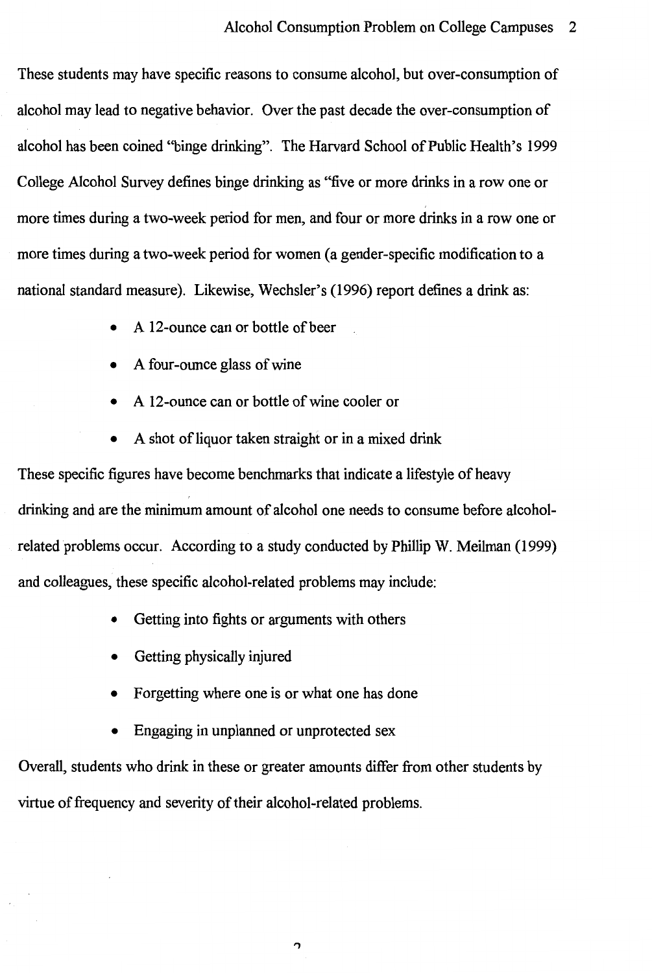These students may have specific reasons to consume alcohol, but over-consumption of alcohol may lead to negative behavior. Over the past decade the over-consumption of alcohol has been coined ''binge drinking". The Harvard School of Public Health's 1999 College Alcohol Survey defines binge drinking as "five or more drinks in a row one or more times during a two-week period for men, and four or more drinks in a row one or more times during a two-week period for women (a gender-specific modification to a national standard measure). Likewise, Wechsler's (1996) report defines a drink as:

- A 12-ounce can or bottle of beer
- A four-ounce glass of wine
- A 12-ounce can or bottle of wine cooler or
- A shot of liquor taken straight or in a mixed drink

These specific figures have become benchmarks that indicate a lifestyle of heavy drinking and are the minimum amount of alcohol one needs to consume before alcoholrelated problems occur. According to a study conducted by Phillip W. Meilman (1999) and colleagues, these specific alcohol-related problems may include:

- Getting into fights or arguments with others
- Getting physically injured
- Forgetting where one is or what one has done
- Engaging in unplanned or unprotected sex

Overall, students who drink in these or greater amounts differ from other students by virtue of frequency and severity of their alcohol-related problems.

,,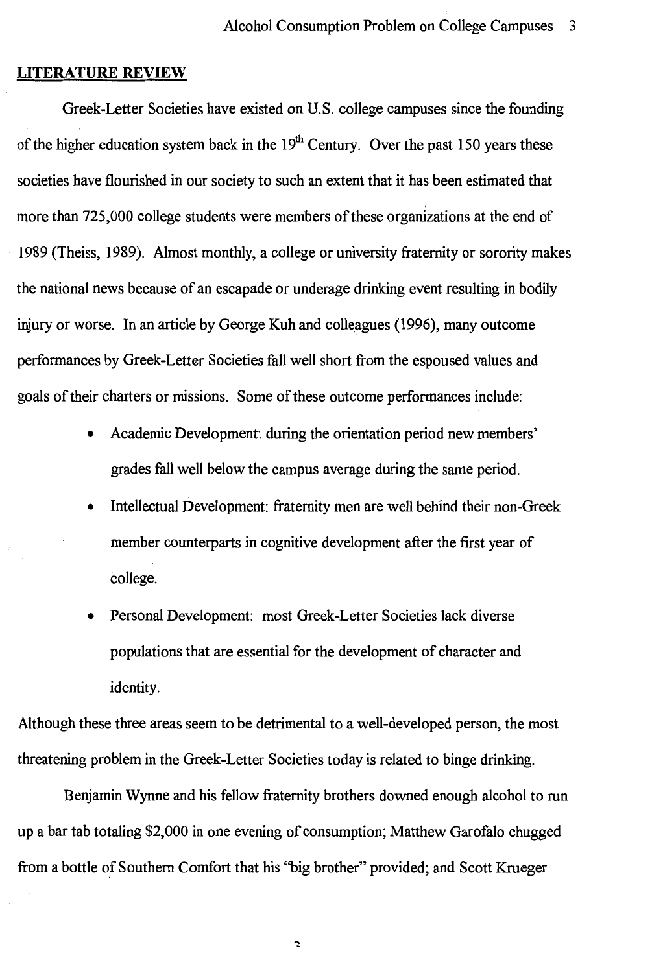#### **LITERATURE REVIEW**

Greek-Letter Societies have existed on U.S. college campuses since the founding of the higher education system back in the  $19<sup>th</sup>$  Century. Over the past 150 years these societies have flourished in our society to such an extent that it has been estimated that more than 725,000 college students were members of these organizations at the end of 1989 (Theiss, 1989). Almost monthly, a college or university fraternity or sorority makes the national news because of an escapade or underage drinking event resulting in bodily injury or worse. In an article by George Kuh and colleagues (1996), many outcome performances by Greek-Letter Societies fall well short from the espoused values and goals of their charters or missions. Some of these outcome performances include:

- Academic Development: during the orientation period new members' grades fall well below the campus average during the same period.
	- Intellectual Development: fraternity men are well behind their non-Greek member counterparts in cognitive development after the first year of college.
- Personal Development: most Greek-Letter Societies lack diverse populations that are essential for the development of character and identity.

Although these three areas seem to be detrimental to a well-developed person, the most threatening problem in the Greek-Letter Societies today is related to binge drinking.

Benjamin Wynne and his fellow fraternity brothers downed enough alcohol to run up a bar tab totaling \$2,000 in one evening of consumption; Matthew Garofalo chugged from a bottle of Southern Comfort that his ''big brother" provided; and Scott Krueger

 $\overline{\mathbf{c}}$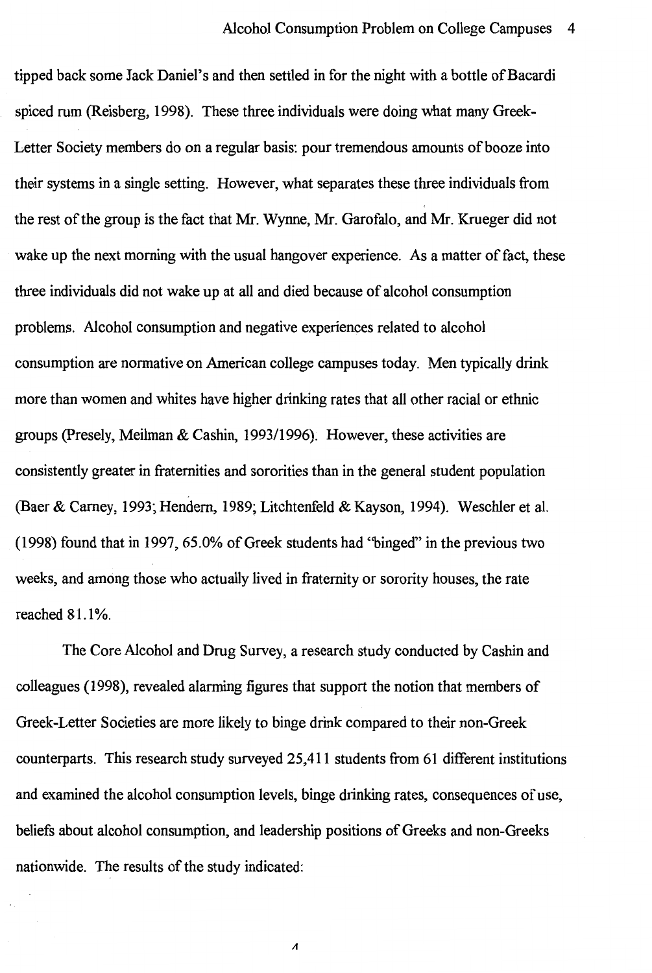tipped back some Jack Daniel's and then settled in for the night with a bottle of Bacardi spiced rum (Reisberg, 1998). These three individuals were doing what many Greek-Letter Society members do on a regular basis: pour tremendous amounts of booze into their systems in a single setting. However, what separates these three individuals from the rest of the group is the fact that Mr. Wynne, Mr. Garofalo, and Mr. Krueger did not wake up the next morning with the usual hangover experience. As a matter of fact, these three individuals did not wake up at all and died because of alcohol consumption problems. Alcohol consumption and negative experiences related to alcohol consumption are normative on American college campuses today. Men typically drink more than women and whites have higher drinking rates that all other racial or ethnic groups (Presely, Meilman & Cashin, 1993/1996). However, these activities are consistently greater in fraternities and sororities than in the general student population (Baer & Camey, 1993; Hendem, 1989; Litchtenfeld & Kayson, 1994). Weschler et al. (1998) found that in 1997, 65.0% of Greek students had "binged" in the previous two weeks, and among those who actually lived in fraternity or sorority houses, the rate reached 81.1%.

The Core Alcohol and Drug Survey, a research study conducted by Cashin and colleagues (1998), revealed alarming figures that support the notion that members of Greek-Letter Societies are more likely to binge drink compared to their non-Greek counterparts. This research study surveyed 25,411 students from 61 different institutions and examined the alcohol consumption levels, binge drinking rates, consequences of use, beliefs about alcohol consumption, and leadership positions of Greeks and non-Greeks nationwide. The results of the study indicated:

A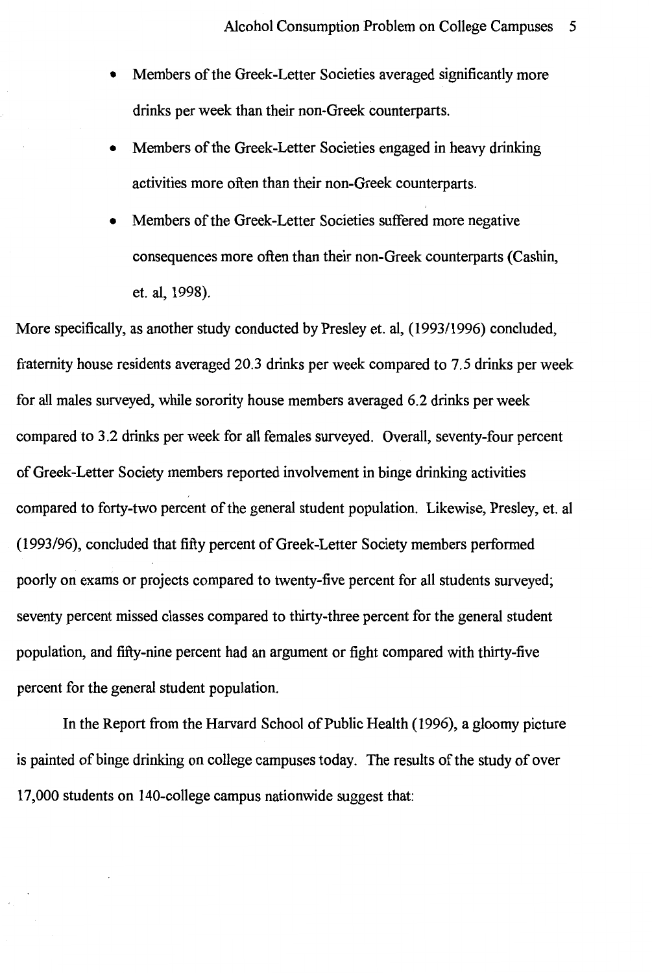- Members of the Greek-Letter Societies averaged significantly more drinks per week than their non-Greek counterparts.
- Members of the Greek-Letter Societies engaged in heavy drinking activities more often than their non-Greek counterparts.
- Members of the Greek-Letter Societies suffered more negative consequences more often than their non-Greek counterparts (Cashin, et. al, 1998).

More specifically, as another study conducted by Presley et. al, (1993/1996) concluded, fraternity house residents averaged 20.3 drinks per week compared to 7.5 drinks per week for all males surveyed, while sorority house members averaged 6.2 drinks per week compared to 3.2 drinks per week for all females surveyed. Overall, seventy-four percent of Greek-Letter Society members reported involvement in binge drinking activities compared to forty-two percent of the general student population. Likewise, Presley, et. al (1993/96), concluded that fifty percent of Greek-Letter Society members performed poorly on exams or projects compared to twenty-five percent for all students surveyed; seventy percent missed classes compared to thirty-three percent for the general student population, and fifty-nine percent had an argument or fight compared with thirty-five percent for the general student population.

In the Report from the Harvard School of Public Health (1996), a gloomy picture is painted of binge drinking on college campuses today. The results of the study of over 17,000 students on 140-college campus nationwide suggest that: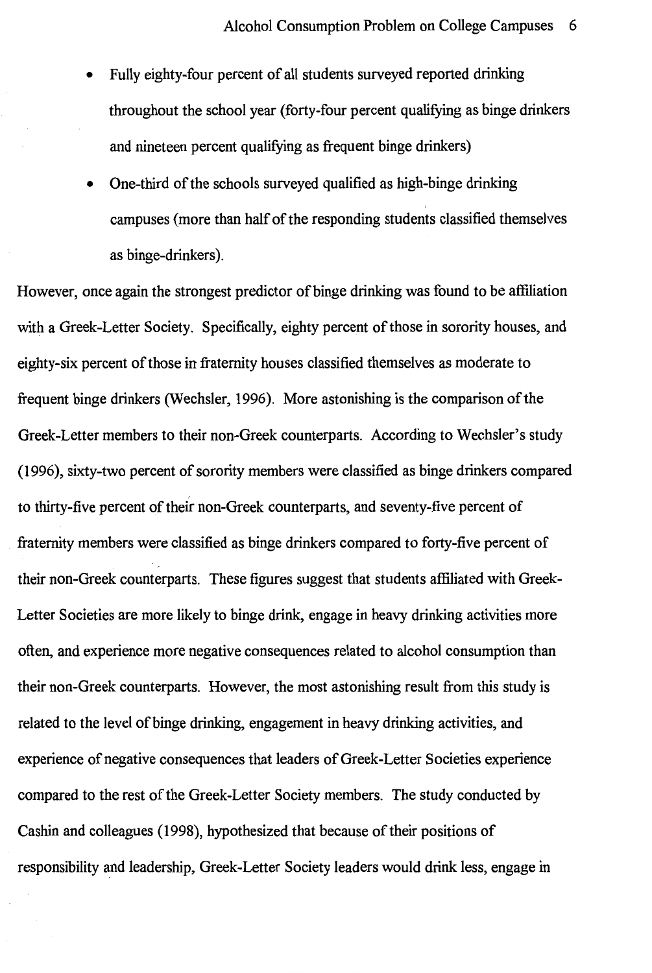- Fully eighty-four percent of all students surveyed reported drinking throughout the school year (forty-four percent qualifying as binge drinkers and nineteen percent qualifying as frequent binge drinkers)
- One-third of the schools surveyed qualified as high-binge drinking campuses ( more than half of the responding students classified themselves as binge-drinkers).

However, once again the strongest predictor of binge drinking was found to be affiliation with a Greek-Letter Society. Specifically, eighty percent of those in sorority houses, and eighty-six percent of those in fraternity houses classified themselves as moderate to frequent binge drinkers (Wechsler, 1996). More astonishing is the comparison of the Greek-Letter members to their non-Greek counterparts. According to Wechsler's study ( 1996), sixty-two percent of sorority members were classified as binge drinkers compared to thirty-five percent of their non-Greek counterparts, and seventy-five percent of fraternity members were classified as binge drinkers compared to forty-five percent of their non-Greek counterparts. These figures suggest that students affiliated with Greek-Letter Societies are more likely to binge drink, engage in heavy drinking activities more often, and experience more negative consequences related to alcohol consumption than their non-Greek counterparts. However, the most astonishing result from this study is related to the level of binge drinking, engagement in heavy drinking activities, and experience of negative consequences that leaders of Greek-Letter Societies experience compared to the rest of the Greek-Letter Society members. The study conducted by Cashin and colleagues (1998), hypothesized that because of their positions of responsibility and leadership, Greek-Letter Society leaders would drink less, engage in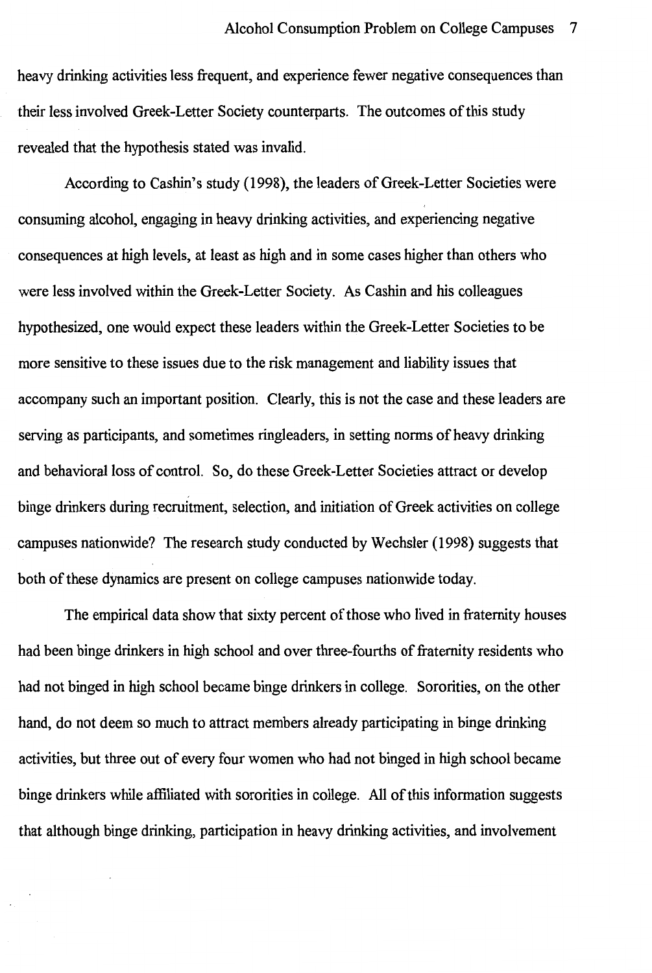heavy drinking activities less frequent, and experience fewer negative consequences than their less involved Greek-Letter Society counterparts. The outcomes of this study revealed that the hypothesis stated was invalid.

According to Cashin's study (1998), the leaders of Greek-Letter Societies were consuming alcohol, engaging in heavy drinking activities, and experiencing negative consequences at high levels, at least as high and in some cases higher than others who were less involved within the Greek-Letter Society. As Cashin and his colleagues hypothesized, one would expect these leaders within the Greek-Letter Societies to be more sensitive to these issues due to the risk management and liability issues that accompany such an important position. Clearly, this is not the case and these leaders are serving as participants, and sometimes ringleaders, in setting norms of heavy drinking and behavioral loss of control. So, do these Greek-Letter Societies attract or develop binge drinkers during recruitment, selection, and initiation of Greek activities on college campuses nationwide? The research study conducted by Wechsler (1998) suggests that both of these dynamics are present on college campuses nationwide today.

The empirical data show that sixty percent of those who lived in fraternity houses had been binge drinkers in high school and over three-fourths of fraternity residents who had not binged in high school became binge drinkers in college. Sororities, on the other hand, do not deem so much to attract members already participating in binge drinking activities, but three out of every four women who had not binged in high school became binge drinkers while affiliated with sororities in college. All of this information suggests that although binge drinking, participation in heavy drinking activities, and involvement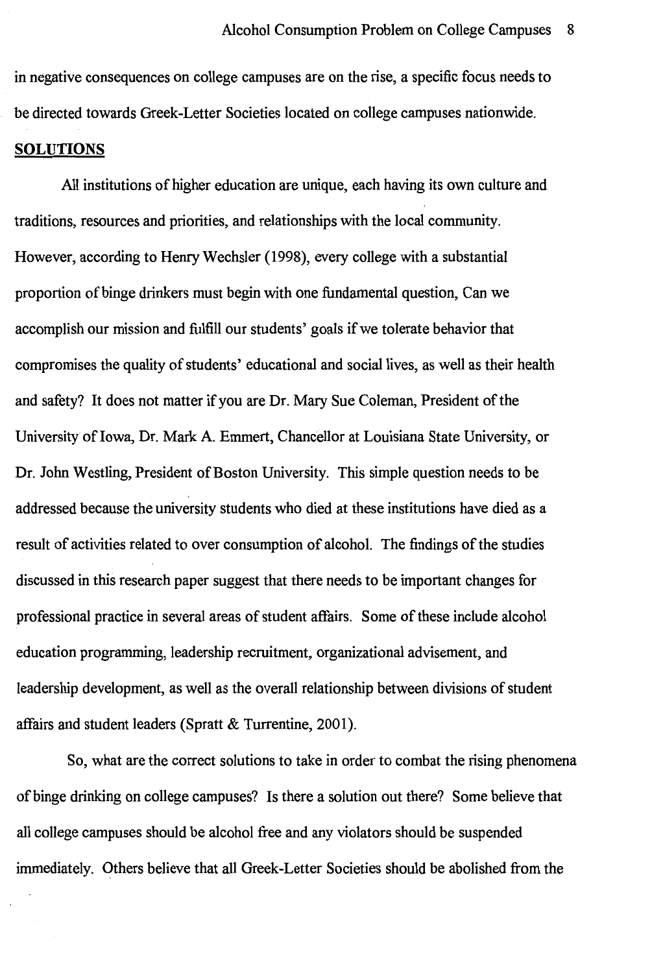in negative consequences on college campuses are on the rise, a specific focus needs to be directed towards Greek-Letter Societies located on college campuses nationwide.

#### **SOLUTIONS**

All institutions of higher education are unique, each having its own culture and traditions, resources and priorities, and relationships with the local community. However, according to Henry Wechsler (1998), every college with a substantial proportion of binge drinkers must begin with one fundamental question, Can we accomplish our mission and fulfill our students' goals if we tolerate behavior that compromises the quality of students' educational and social lives, as well as their health and safety? It does not matter if you are Dr. Mary Sue Coleman, President of the University of Iowa, Dr. Mark A. Emmert, Chancellor at Louisiana State University, or Dr. John Westling, President of Boston University. This simple question needs to be addressed because the university students who died at these institutions have died as a result of activities related to over consumption of alcohol. The findings of the studies discussed in this research paper suggest that there needs to be important changes for professional practice in several areas of student affairs. Some of these include alcohol education programming, leadership recruitment, organizational advisement, and leadership development, as well as the overall relationship between divisions of student affairs and student leaders (Spratt & Turrentine, 2001).

So, what are the correct solutions to take in order to combat the rising phenomena of binge drinking on college campuses? Is there a solution out there? Some believe that all college campuses should be alcohol free and any violators should be suspended immediately. Others believe that all Greek-Letter Societies should be abolished from the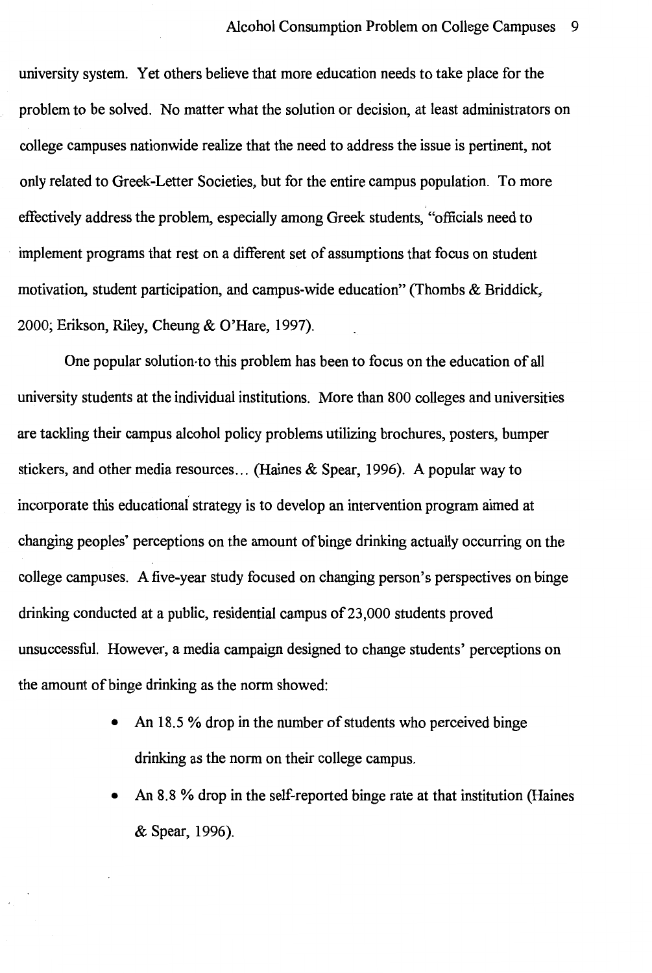university system. Yet others believe that more education needs to take place for the problem to be solved. No matter what the solution or decision, at least administrators on college campuses nationwide realize that the need to address the issue is pertinent, not only related to Greek-Letter Societies, but for the entire campus population. To more effectively address the problem, especially among Greek students, "officials need to implement programs that rest on a different set of assumptions that focus on student motivation, student participation, and campus-wide education" (Thombs & Briddick,- 2000; Erikson, Riley, Cheung & O'Hare, 1997).

One popular solution-to this problem has been to focus on the education of all university students at the individual institutions. More than 800 colleges and universities are tackling their campus alcohol policy problems utilizing brochures, posters, bumper stickers, and other media resources ... (Haines & Spear, 1996). A popular way to incorporate this educational strategy is to develop an intervention program aimed at changing peoples' perceptions on the amount of binge drinking actually occurring on the college campuses. A five-year study focused on changing person's perspectives on binge drinking conducted at a public, residential campus of23,000 students proved unsuccessful. However, a media campaign designed to change students' perceptions on the amount of binge drinking as the norm showed:

- An 18.5 % drop in the number of students who perceived binge drinking as the norm on their college campus.
- An 8.8 % drop in the self-reported binge rate at that institution (Haines & Spear, 1996).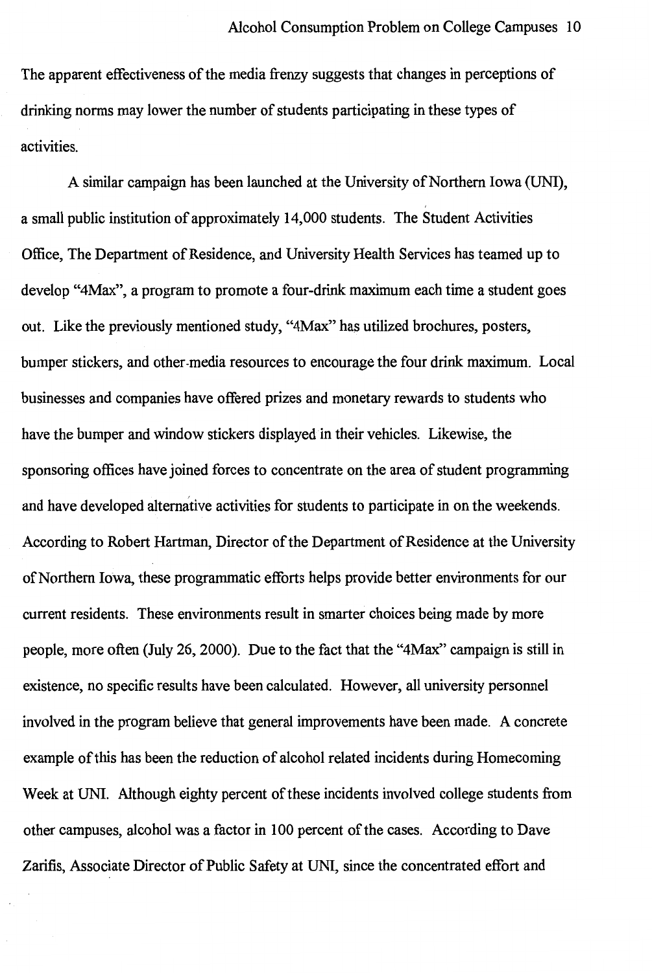The apparent effectiveness of the media frenzy suggests that changes in perceptions of drinking norms may lower the number of students participating in these types of activities.

A similar campaign has been launched at the University of Northern Iowa (UNI), a small public institution of approximately 14,000 students. The Student Activities Office, The Department of Residence, and University Health Services has teamed up to develop "4Max", a program to promote a four-drink maximum each time a student goes out. Like the previously mentioned study, "4Max" has utilized brochures, posters, bumper stickers, and other-media resources to encourage the four drink maximum. Local businesses and companies have offered prizes and monetary rewards to students who have the bumper and window stickers displayed in their vehicles. Likewise, the sponsoring offices have joined forces to concentrate on the area of student programming and have developed alternative activities for students to participate in on the weekends. According to Robert Hartman, Director of the Department of Residence at the University of Northern Iowa, these programmatic efforts helps provide better environments for our current residents. These environments result in smarter choices being made by more people, more often (July 26, 2000). Due to the fact that the "4Max" campaign is still in existence, no specific results have been calculated. However, all university personnel involved in the program believe that general improvements have been made. A concrete example of this has been the reduction of alcohol related incidents during Homecoming Week at UNI. Although eighty percent of these incidents involved college students from other campuses, alcohol was a factor in 100 percent of the cases. According to Dave Zarifis, Associate Director of Public Safety at UNI, since the concentrated effort and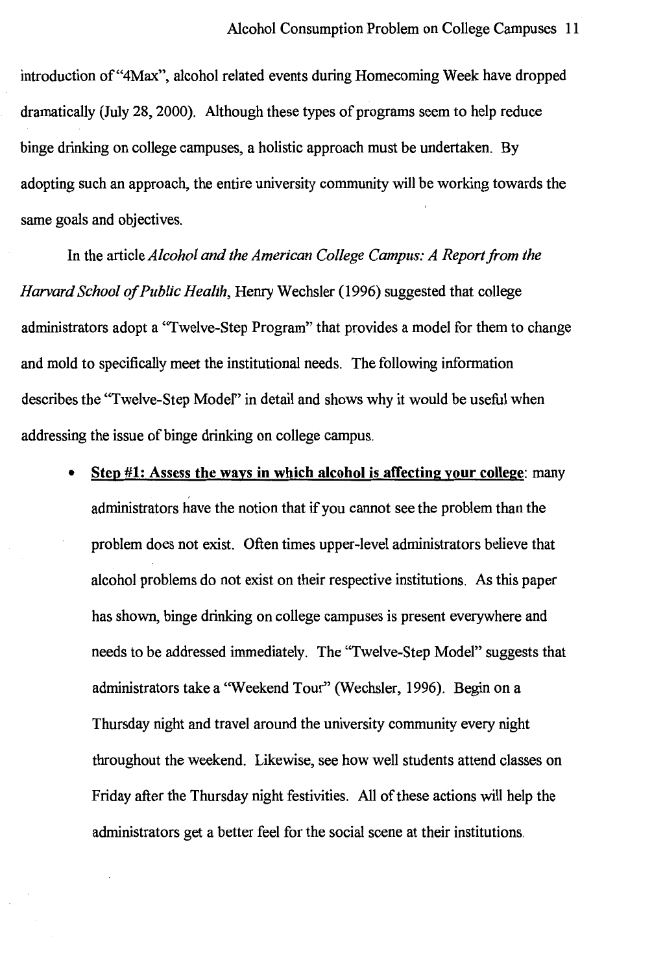introduction of"4Max", alcohol related events during Homecoming Week have dropped dramatically (July 28, 2000). Although these types of programs seem to help reduce binge drinking on college campuses, a holistic approach must be undertaken. By adopting such an approach, the entire university community will be working towards the same goals and objectives.

In the article *Alcohol and the American College Campus: A Report from the Harvard School of Public Health,* Henry Wechsler (1996) suggested that college administrators adopt a "Twelve-Step Program" that provides a model for them to change and mold to specifically meet the institutional needs. The following information describes the "Twelve-Step Model" in detail and shows why it would be useful when addressing the issue of binge drinking on college campus.

• **Step #1: Assess the ways in which alcohol is affecting your college:** many administrators have the notion that if you cannot see the problem than the problem does not exist. Often times upper-level administrators believe that alcohol problems do not exist on their respective institutions. As this paper has shown, binge drinking on college campuses is present everywhere and needs to be addressed immediately. The "Twelve-Step Model" suggests that administrators take a "Weekend Tour" (Wechsler, 1996). Begin on a Thursday night and travel around the university community every night throughout the weekend. Likewise, see how well students attend classes on Friday after the Thursday night festivities. All of these actions will help the administrators get a better feel for the social scene at their institutions.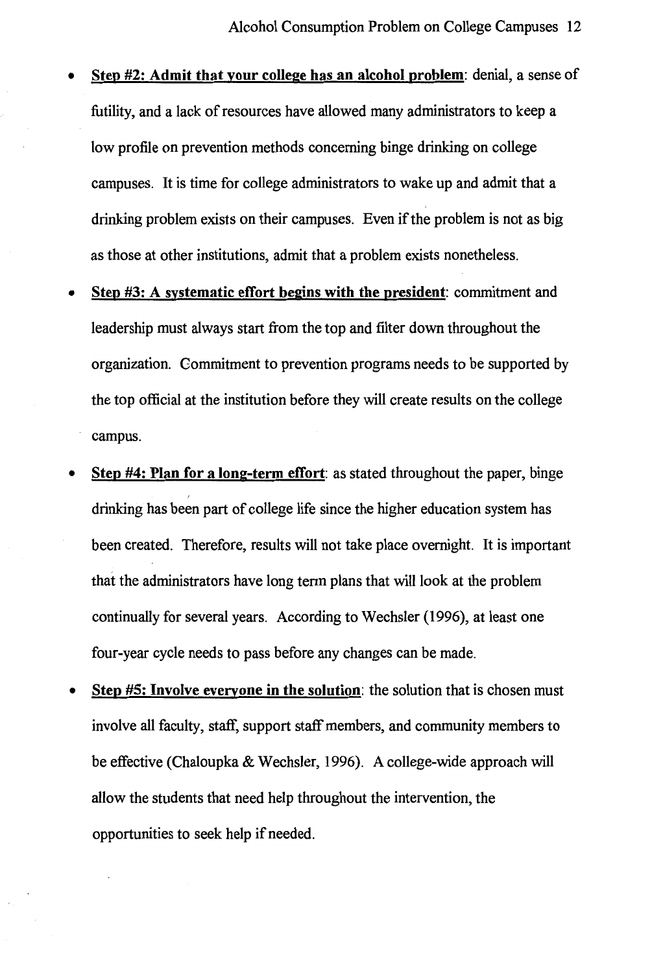- **Step #2: Admit that your college has an alcohol problem:** denial, a sense of futility, and a lack of resources have allowed many administrators to keep a low profile on prevention methods concerning binge drinking on college campuses. It is time for college administrators to wake up and admit that a drinking problem exists on their campuses. Even if the problem is not as big as those at other institutions, admit that a problem exists nonetheless.
- **Step #3: A systematic effort begins with the president:** commitment and leadership must always start from the top and filter down throughout the organization. Gommitment to prevention programs needs to be supported by the top official at the institution before they will create results on the college campus.
- **Step #4: Plan for a long-term effort:** as stated throughout the paper, binge drinking has been part of college life since the higher education system has been created. Therefore, results will not take place overnight. It is important that the administrators have long term plans that will look at the problem continually for several years. According to Wechsler (1996), at least one four-year cycle needs to pass before any changes can be made.
- **Step #5: Involve everyone in the solution:** the solution that is chosen must involve all faculty, staff, support staff members, and community members to be effective (Chaloupka & Wechsler, 1996). A college-wide approach will allow the students that need help throughout the intervention, the opportunities to seek help if needed.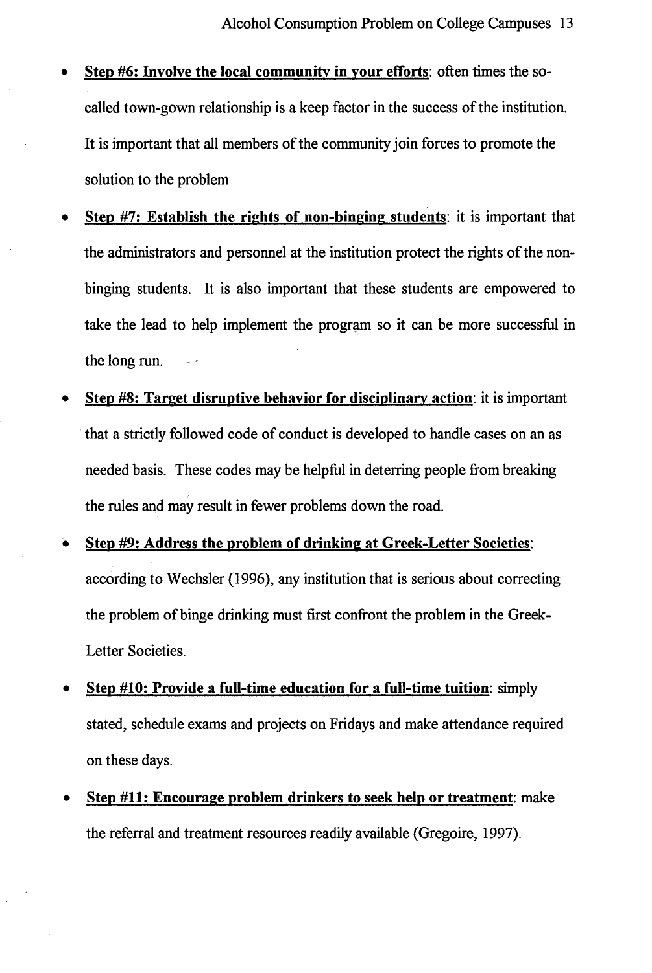- **Step #6: Involve the local community in your efforts:** often times the socalled town-gown relationship is a keep factor in the success of the institution. It is important that all members of the community join forces to promote the solution to the problem
- **Step #7: Establish the rights of non-binging students:** it is important that the administrators and personnel at the institution protect the rights of the nonbinging students. It is also important that these students are empowered to take the lead to help implement the program so it can be more successful in the long run.
- **Step #8: Target disruptive behavior for disciplinary action:** it is important that a strictly followed code of conduct is developed to handle cases on an as needed basis. These codes may be helpful in deterring people from breaking the rules and may result in fewer problems down the road.
- **Step #9: Address the problem of drinking at Greek-Letter Societies:**  according to Wechsler (1996), any institution that is serious about correcting the problem of binge drinking must first confront the problem in the Greek-Letter Societies.
- **Step #10: Provide a full-time education for a full-time tuition:** simply stated, schedule exams and projects on Fridays and make attendance required on these days.
- **Step #11: Encourage problem drinkers to seek help or treatment:** make the referral and treatment resources readily available (Gregoire, 1997).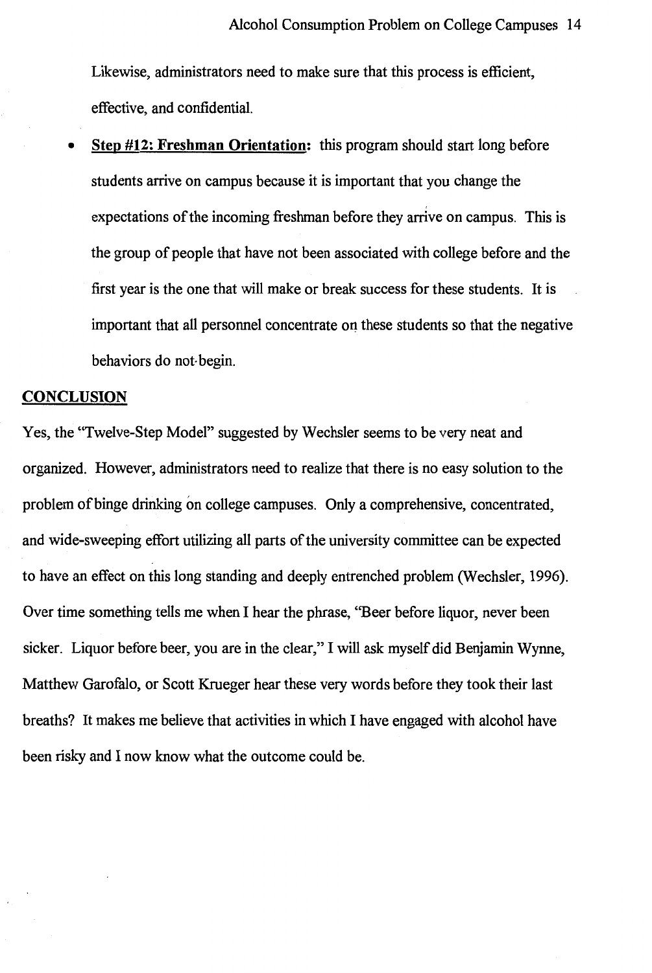Likewise, administrators need to make sure that this process is efficient, effective, and confidential.

• **Step #12: Freshman Orientation:** this program should start long before students arrive on campus because it is important that you change the expectations of the incoming freshman before they arrive on campus. This is the group of people that have not been associated with college before and the first year is the one that will make or break success for these students. It is important that all personnel concentrate on these students so that the negative behaviors do not-begin.

#### **CONCLUSION**

Yes, the "Twelve-Step Model" suggested by Wechsler seems to be very neat and organized. However, administrators need to realize that there is no easy solution to the problem of binge drinking on college campuses. Only a comprehensive, concentrated, and wide-sweeping effort utilizing all parts of the university committee can be expected to have an effect on this long standing and deeply entrenched problem (Wechsler, 1996). Over time something tells me when I hear the phrase, ''Beer before liquor, never been sicker. Liquor before beer, you are in the clear," I will ask myself did Benjamin Wynne, Matthew Garofalo, or Scott Krueger hear these very words before they took their last breaths? It makes me believe that activities in which I have engaged with alcohol have been risky and I now know what the outcome could be.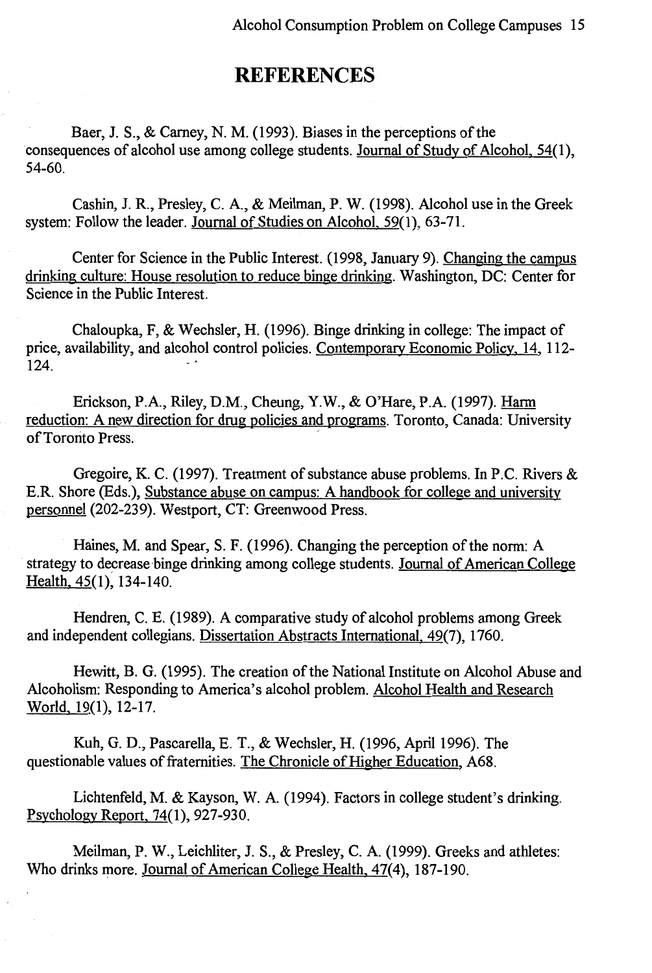## **REFERENCES**

Baer, J. S., & Carney, N. M. (1993). Biases in the perceptions of the consequences of alcohol use among college students. Journal of Study of Alcohol, 54(1), 54-60.

Cashin, J. R., Presley, C. A., & Meilman, P. W. (1998). Alcohol use in the Greek system: Follow the leader. Journal of Studies on Alcohol, 59(1), 63-71.

Center for Science in the Public Interest. (1998, January 9). Changing the campus drinking culture: House resolution to reduce binge drinking. Washington, DC: Center for Science in the Public Interest.

Chaloupka, F, & Wechsler, H. (1996). Binge drinking in college: The impact of price, availability, and alcohol control policies. Contemporary Economic Policy, 14, 112- 124. .

Erickson, P.A., Riley, D.M., Cheung, Y.W., & O'Hare, P.A. (1997). Harm reduction: A new direction for drug policies and programs. Toronto, Canada: University of Toronto Press.

Gregoire, K. C. (1997). Treatment of substance abuse problems. In P.C. Rivers & E.R. Shore (Eds.), Substance abuse on campus: A handbook for college and university personnel (202-239). Westport, CT: Greenwood Press.

Haines, M. and Spear, S. F. (1996). Changing the perception of the norm: A strategy to decrease binge drinking among college students. Journal of American College Health, 45(1), 134-140.

Hendren, C. E. (1989). A comparative study of alcohol problems among Greek and independent collegians. Dissertation Abstracts International, 49(7), 1760.

Hewitt, B. G. (1995). The creation of the National Institute on Alcohol Abuse and Alcoholism: Responding to America's alcohol problem. Alcohol Health and Research World, 19(1), 12-17.

Kuh, G.D., Pascarella, E.T., & Wechsler, H. (1996, April 1996). The questionable values of fraternities. The Chronicle of Higher Education, A68.

Lichtenfeld, M. & Kayson, W. A. (1994). Factors in college student's drinking. Psychology Report, 74(1), 927-930.

Meilman, P. W., Leichliter, J. S., & Presley, C. A. (1999). Greeks and athletes: Who drinks more. Journal of American College Health, 47(4), 187-190.